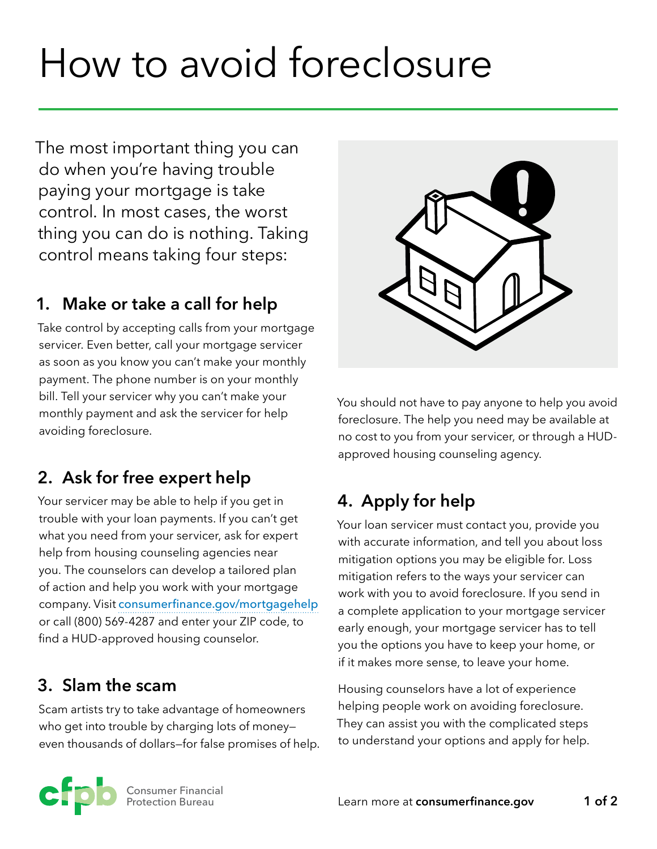# How to avoid foreclosure

The most important thing you can do when you're having trouble paying your mortgage is take control. In most cases, the worst thing you can do is nothing. Taking control means taking four steps:

### **1. Make or take a call for help**

Take control by accepting calls from your mortgage servicer. Even better, call your mortgage servicer as soon as you know you can't make your monthly payment. The phone number is on your monthly bill. Tell your servicer why you can't make your monthly payment and ask the servicer for help avoiding foreclosure.

# **2. Ask for free expert help**

Your servicer may be able to help if you get in trouble with your loan payments. If you can't get what you need from your servicer, ask for expert help from housing counseling agencies near you. The counselors can develop a tailored plan of action and help you work with your mortgage company. Visit [consumerfinance.gov/mortgagehelp](https://www.consumerfinance.gov/mortgagehelp) or call (800) 569-4287 and enter your ZIP code, to find a HUD-approved housing counselor.

#### **3. Slam the scam**

Scam artists try to take advantage of homeowners who get into trouble by charging lots of money even thousands of dollars—for false promises of help.



You should not have to pay anyone to help you avoid foreclosure. The help you need may be available at no cost to you from your servicer, or through a HUDapproved housing counseling agency.

# **4. Apply for help**

Your loan servicer must contact you, provide you with accurate information, and tell you about loss mitigation options you may be eligible for. Loss mitigation refers to the ways your servicer can work with you to avoid foreclosure. If you send in a complete application to your mortgage servicer early enough, your mortgage servicer has to tell you the options you have to keep your home, or if it makes more sense, to leave your home.

Housing counselors have a lot of experience helping people work on avoiding foreclosure. They can assist you with the complicated steps to understand your options and apply for help.